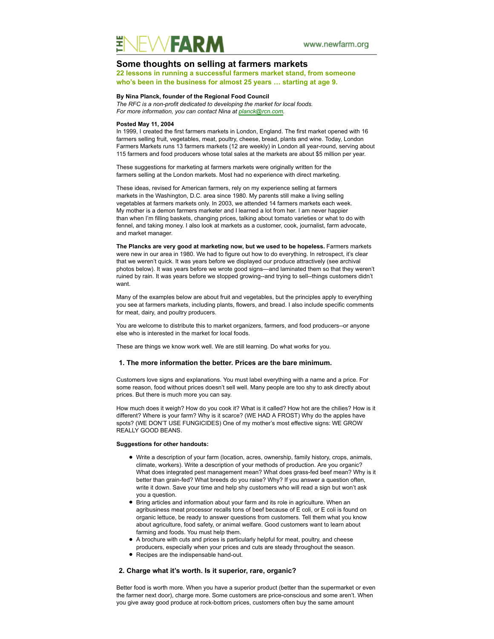# **Some thoughts on selling at farmers markets**

**22 lessons in running a successful farmers market stand, from someone who's been in the business for almost 25 years … starting at age 9.**

### **By Nina Planck, founder of the Regional Food Council**

*The RFC is a non-profit dedicated to developing the market for local foods. For more information, you can contact Nina at planck@rcn.com.*

#### **Posted May 11, 2004**

In 1999, I created the first farmers markets in London, England. The first market opened with 16 farmers selling fruit, vegetables, meat, poultry, cheese, bread, plants and wine. Today, London Farmers Markets runs 13 farmers markets (12 are weekly) in London all year-round, serving about 115 farmers and food producers whose total sales at the markets are about \$5 million per year.

These suggestions for marketing at farmers markets were originally written for the farmers selling at the London markets. Most had no experience with direct marketing.

These ideas, revised for American farmers, rely on my experience selling at farmers markets in the Washington, D.C. area since 1980. My parents still make a living selling vegetables at farmers markets only. In 2003, we attended 14 farmers markets each week. My mother is a demon farmers marketer and I learned a lot from her. I am never happier than when I'm filling baskets, changing prices, talking about tomato varieties or what to do with fennel, and taking money. I also look at markets as a customer, cook, journalist, farm advocate, and market manager.

**The Plancks are very good at marketing now, but we used to be hopeless.** Farmers markets were new in our area in 1980. We had to figure out how to do everything. In retrospect, it's clear that we weren't quick. It was years before we displayed our produce attractively (see archival photos below). It was years before we wrote good signs—and laminated them so that they weren't ruined by rain. It was years before we stopped growing--and trying to sell--things customers didn't want.

Many of the examples below are about fruit and vegetables, but the principles apply to everything you see at farmers markets, including plants, flowers, and bread. I also include specific comments for meat, dairy, and poultry producers.

You are welcome to distribute this to market organizers, farmers, and food producers--or anyone else who is interested in the market for local foods.

These are things we know work well. We are still learning. Do what works for you.

# **1. The more information the better. Prices are the bare minimum.**

Customers love signs and explanations. You must label everything with a name and a price. For some reason, food without prices doesn't sell well. Many people are too shy to ask directly about prices. But there is much more you can say.

How much does it weigh? How do you cook it? What is it called? How hot are the chilies? How is it different? Where is your farm? Why is it scarce? (WE HAD A FROST) Why do the apples have spots? (WE DON'T USE FUNGICIDES) One of my mother's most effective signs: WE GROW REALLY GOOD BEANS.

#### **Suggestions for other handouts:**

- Write a description of your farm (location, acres, ownership, family history, crops, animals, climate, workers). Write a description of your methods of production. Are you organic? What does integrated pest management mean? What does grass-fed beef mean? Why is it better than grain-fed? What breeds do you raise? Why? If you answer a question often, write it down. Save your time and help shy customers who will read a sign but won't ask you a question.
- Bring articles and information about your farm and its role in agriculture. When an agribusiness meat processor recalls tons of beef because of E coli, or E coli is found on organic lettuce, be ready to answer questions from customers. Tell them what you know about agriculture, food safety, or animal welfare. Good customers want to learn about farming and foods. You must help them.
- A brochure with cuts and prices is particularly helpful for meat, poultry, and cheese producers, especially when your prices and cuts are steady throughout the season.
- Recipes are the indispensable hand-out.

# **2. Charge what it's worth. Is it superior, rare, organic?**

Better food is worth more. When you have a superior product (better than the supermarket or even the farmer next door), charge more. Some customers are price-conscious and some aren't. When you give away good produce at rock-bottom prices, customers often buy the same amount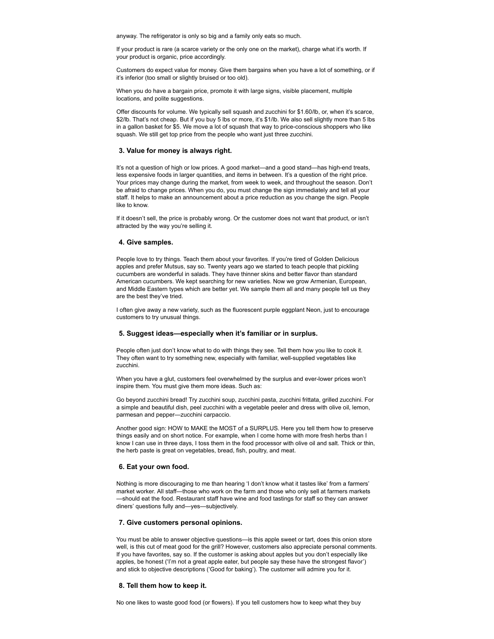anyway. The refrigerator is only so big and a family only eats so much.

If your product is rare (a scarce variety or the only one on the market), charge what it's worth. If your product is organic, price accordingly.

Customers do expect value for money. Give them bargains when you have a lot of something, or if it's inferior (too small or slightly bruised or too old).

When you do have a bargain price, promote it with large signs, visible placement, multiple locations, and polite suggestions.

Offer discounts for volume. We typically sell squash and zucchini for \$1.60/lb, or, when it's scarce, \$2/lb. That's not cheap. But if you buy 5 lbs or more, it's \$1/lb. We also sell slightly more than 5 lbs in a gallon basket for \$5. We move a lot of squash that way to price-conscious shoppers who like squash. We still get top price from the people who want just three zucchini.

## **3. Value for money is always right.**

It's not a question of high or low prices. A good market—and a good stand—has high-end treats, less expensive foods in larger quantities, and items in between. It's a question of the right price. Your prices may change during the market, from week to week, and throughout the season. Don't be afraid to change prices. When you do, you must change the sign immediately and tell all your staff. It helps to make an announcement about a price reduction as you change the sign. People like to know.

If it doesn't sell, the price is probably wrong. Or the customer does not want that product, or isn't attracted by the way you're selling it.

#### **4. Give samples.**

People love to try things. Teach them about your favorites. If you're tired of Golden Delicious apples and prefer Mutsus, say so. Twenty years ago we started to teach people that pickling cucumbers are wonderful in salads. They have thinner skins and better flavor than standard American cucumbers. We kept searching for new varieties. Now we grow Armenian, European, and Middle Eastern types which are better yet. We sample them all and many people tell us they are the best they've tried.

I often give away a new variety, such as the fluorescent purple eggplant Neon, just to encourage customers to try unusual things.

### **5. Suggest ideas—especially when it's familiar or in surplus.**

People often just don't know what to do with things they see. Tell them how you like to cook it. They often want to try something new, especially with familiar, well-supplied vegetables like zucchini.

When you have a glut, customers feel overwhelmed by the surplus and ever-lower prices won't inspire them. You must give them more ideas. Such as:

Go beyond zucchini bread! Try zucchini soup, zucchini pasta, zucchini frittata, grilled zucchini. For a simple and beautiful dish, peel zucchini with a vegetable peeler and dress with olive oil, lemon, parmesan and pepper—zucchini carpaccio.

Another good sign: HOW to MAKE the MOST of a SURPLUS. Here you tell them how to preserve things easily and on short notice. For example, when I come home with more fresh herbs than I know I can use in three days, I toss them in the food processor with olive oil and salt. Thick or thin, the herb paste is great on vegetables, bread, fish, poultry, and meat.

#### **6. Eat your own food.**

Nothing is more discouraging to me than hearing 'I don't know what it tastes like' from a farmers' market worker. All staff—those who work on the farm and those who only sell at farmers markets —should eat the food. Restaurant staff have wine and food tastings for staff so they can answer diners' questions fully and—yes—subjectively.

#### **7. Give customers personal opinions.**

You must be able to answer objective questions—is this apple sweet or tart, does this onion store well, is this cut of meat good for the grill? However, customers also appreciate personal comments. If you have favorites, say so. If the customer is asking about apples but you don't especially like apples, be honest ('I'm not a great apple eater, but people say these have the strongest flavor') and stick to objective descriptions ('Good for baking'). The customer will admire you for it.

# **8. Tell them how to keep it.**

No one likes to waste good food (or flowers). If you tell customers how to keep what they buy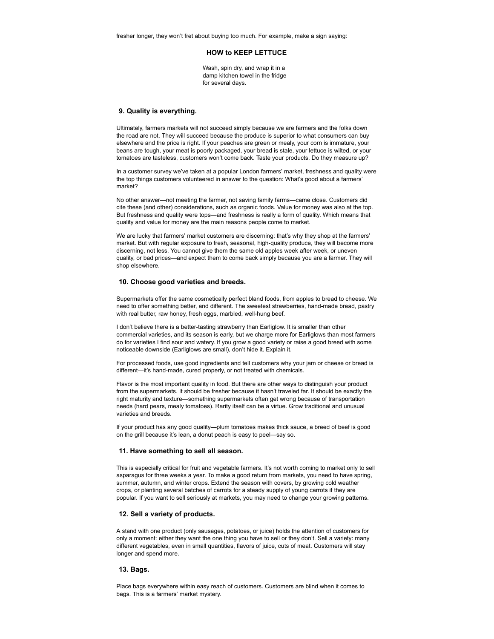fresher longer, they won't fret about buying too much. For example, make a sign saying:

# **HOW to KEEP LETTUCE**

Wash, spin dry, and wrap it in a damp kitchen towel in the fridge for several days.

# **9. Quality is everything.**

Ultimately, farmers markets will not succeed simply because we are farmers and the folks down the road are not. They will succeed because the produce is superior to what consumers can buy elsewhere and the price is right. If your peaches are green or mealy, your corn is immature, your beans are tough, your meat is poorly packaged, your bread is stale, your lettuce is wilted, or your tomatoes are tasteless, customers won't come back. Taste your products. Do they measure up?

In a customer survey we've taken at a popular London farmers' market, freshness and quality were the top things customers volunteered in answer to the question: What's good about a farmers' market?

No other answer—not meeting the farmer, not saving family farms—came close. Customers did cite these (and other) considerations, such as organic foods. Value for money was also at the top. But freshness and quality were tops—and freshness is really a form of quality. Which means that quality and value for money are the main reasons people come to market.

We are lucky that farmers' market customers are discerning: that's why they shop at the farmers' market. But with regular exposure to fresh, seasonal, high-quality produce, they will become more discerning, not less. You cannot give them the same old apples week after week, or uneven quality, or bad prices—and expect them to come back simply because you are a farmer. They will shop elsewhere.

### **10. Choose good varieties and breeds.**

Supermarkets offer the same cosmetically perfect bland foods, from apples to bread to cheese. We need to offer something better, and different. The sweetest strawberries, hand-made bread, pastry with real butter, raw honey, fresh eggs, marbled, well-hung beef.

I don't believe there is a better-tasting strawberry than Earliglow. It is smaller than other commercial varieties, and its season is early, but we charge more for Earliglows than most farmers do for varieties I find sour and watery. If you grow a good variety or raise a good breed with some noticeable downside (Earliglows are small), don't hide it. Explain it.

For processed foods, use good ingredients and tell customers why your jam or cheese or bread is different—it's hand-made, cured properly, or not treated with chemicals.

Flavor is the most important quality in food. But there are other ways to distinguish your product from the supermarkets. It should be fresher because it hasn't traveled far. It should be exactly the right maturity and texture—something supermarkets often get wrong because of transportation needs (hard pears, mealy tomatoes). Rarity itself can be a virtue. Grow traditional and unusual varieties and breeds.

If your product has any good quality—plum tomatoes makes thick sauce, a breed of beef is good on the grill because it's lean, a donut peach is easy to peel—say so.

# **11. Have something to sell all season.**

This is especially critical for fruit and vegetable farmers. It's not worth coming to market only to sell asparagus for three weeks a year. To make a good return from markets, you need to have spring, summer, autumn, and winter crops. Extend the season with covers, by growing cold weather crops, or planting several batches of carrots for a steady supply of young carrots if they are popular. If you want to sell seriously at markets, you may need to change your growing patterns.

# **12. Sell a variety of products.**

A stand with one product (only sausages, potatoes, or juice) holds the attention of customers for only a moment: either they want the one thing you have to sell or they don't. Sell a variety: many different vegetables, even in small quantities, flavors of juice, cuts of meat. Customers will stay longer and spend more.

## **13. Bags.**

Place bags everywhere within easy reach of customers. Customers are blind when it comes to bags. This is a farmers' market mystery.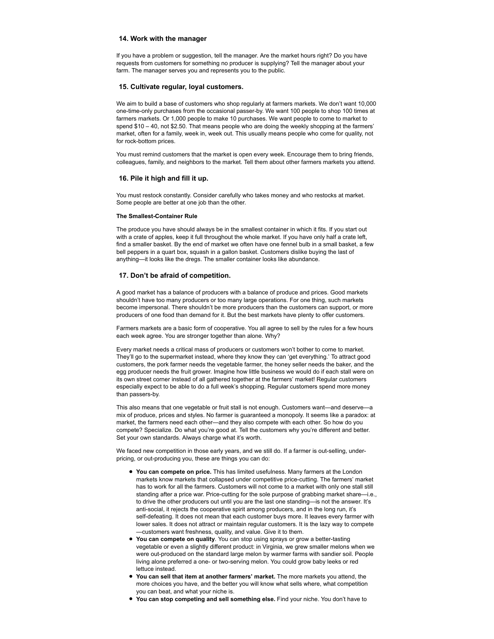# **14. Work with the manager**

If you have a problem or suggestion, tell the manager. Are the market hours right? Do you have requests from customers for something no producer is supplying? Tell the manager about your farm. The manager serves you and represents you to the public.

#### **15. Cultivate regular, loyal customers.**

We aim to build a base of customers who shop regularly at farmers markets. We don't want 10,000 one-time-only purchases from the occasional passer-by. We want 100 people to shop 100 times at farmers markets. Or 1,000 people to make 10 purchases. We want people to come to market to spend \$10 – 40, not \$2.50. That means people who are doing the weekly shopping at the farmers' market, often for a family, week in, week out. This usually means people who come for quality, not for rock-bottom prices.

You must remind customers that the market is open every week. Encourage them to bring friends, colleagues, family, and neighbors to the market. Tell them about other farmers markets you attend.

## **16. Pile it high and fill it up.**

You must restock constantly. Consider carefully who takes money and who restocks at market. Some people are better at one job than the other.

# **The Smallest-Container Rule**

The produce you have should always be in the smallest container in which it fits. If you start out with a crate of apples, keep it full throughout the whole market. If you have only half a crate left, find a smaller basket. By the end of market we often have one fennel bulb in a small basket, a few bell peppers in a quart box, squash in a gallon basket. Customers dislike buying the last of anything—it looks like the dregs. The smaller container looks like abundance.

### **17. Don't be afraid of competition.**

A good market has a balance of producers with a balance of produce and prices. Good markets shouldn't have too many producers or too many large operations. For one thing, such markets become impersonal. There shouldn't be more producers than the customers can support, or more producers of one food than demand for it. But the best markets have plenty to offer customers.

Farmers markets are a basic form of cooperative. You all agree to sell by the rules for a few hours each week agree. You are stronger together than alone. Why?

Every market needs a critical mass of producers or customers won't bother to come to market. They'll go to the supermarket instead, where they know they can 'get everything.' To attract good customers, the pork farmer needs the vegetable farmer, the honey seller needs the baker, and the egg producer needs the fruit grower. Imagine how little business we would do if each stall were on its own street corner instead of all gathered together at the farmers' market! Regular customers especially expect to be able to do a full week's shopping. Regular customers spend more money than passers-by.

This also means that one vegetable or fruit stall is not enough. Customers want—and deserve—a mix of produce, prices and styles. No farmer is guaranteed a monopoly. It seems like a paradox: at market, the farmers need each other—and they also compete with each other. So how do you compete? Specialize. Do what you're good at. Tell the customers why you're different and better. Set your own standards. Always charge what it's worth.

We faced new competition in those early years, and we still do. If a farmer is out-selling, underpricing, or out-producing you, these are things you can do:

- **You can compete on price.** This has limited usefulness. Many farmers at the London markets know markets that collapsed under competitive price-cutting. The farmers' market has to work for all the farmers. Customers will not come to a market with only one stall still standing after a price war. Price-cutting for the sole purpose of grabbing market share—i.e., to drive the other producers out until you are the last one standing—is not the answer. It's anti-social, it rejects the cooperative spirit among producers, and in the long run, it's self-defeating. It does not mean that each customer buys more. It leaves every farmer with lower sales. It does not attract or maintain regular customers. It is the lazy way to compete —customers want freshness, quality, and value. Give it to them.
- **You can compete on quality**. You can stop using sprays or grow a better-tasting vegetable or even a slightly different product: in Virginia, we grew smaller melons when we were out-produced on the standard large melon by warmer farms with sandier soil. People living alone preferred a one- or two-serving melon. You could grow baby leeks or red lettuce instead.
- **You can sell that item at another farmers' market.** The more markets you attend, the more choices you have, and the better you will know what sells where, what competition you can beat, and what your niche is.
- **You can stop competing and sell something else.** Find your niche. You don't have to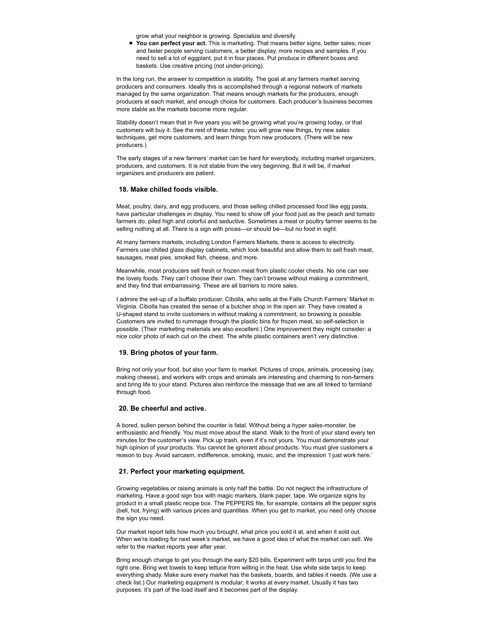grow what your neighbor is growing. Specialize and diversify.

**You can perfect your act.** This is marketing. That means better signs, better sales, nicer and faster people serving customers, a better display, more recipes and samples. If you need to sell a lot of eggplant, put it in four places. Put produce in different boxes and baskets. Use creative pricing (not under-pricing).

In the long run, the answer to competition is stability. The goal at any farmers market serving producers and consumers. Ideally this is accomplished through a regional network of markets managed by the same organization. That means enough markets for the producers, enough producers at each market, and enough choice for customers. Each producer's business becomes more stable as the markets become more regular.

Stability doesn't mean that in five years you will be growing what you're growing today, or that customers will buy it. See the rest of these notes: you will grow new things, try new sales techniques, get more customers, and learn things from new producers. (There will be new producers.)

The early stages of a new farmers' market can be hard for everybody, including market organizers, producers, and customers. It is not stable from the very beginning. But it will be, if market organizers and producers are patient.

## **18. Make chilled foods visible.**

Meat, poultry, dairy, and egg producers, and those selling chilled processed food like egg pasta, have particular challenges in display. You need to show off your food just as the peach and tomato farmers do, piled high and colorful and seductive. Sometimes a meat or poultry farmer seems to be selling nothing at all. There is a sign with prices—or should be—but no food in sight.

At many farmers markets, including London Farmers Markets, there is access to electricity. Farmers use chilled glass display cabinets, which look beautiful and allow them to sell fresh meat, sausages, meat pies, smoked fish, cheese, and more.

Meanwhile, most producers sell fresh or frozen meat from plastic cooler chests. No one can see the lovely foods. They can't choose their own. They can't browse without making a commitment, and they find that embarrassing. These are all barriers to more sales.

I admire the set-up of a buffalo producer, Cibolla, who sells at the Falls Church Farmers' Market in Virginia. Cibolla has created the sense of a butcher shop in the open air. They have created a U-shaped stand to invite customers in without making a commitment, so browsing is possible. Customers are invited to rummage through the plastic bins for frozen meat, so self-selection is possible. (Their marketing materials are also excellent.) One improvement they might consider: a nice color photo of each cut on the chest. The white plastic containers aren't very distinctive.

# **19. Bring photos of your farm.**

Bring not only your food, but also your farm to market. Pictures of crops, animals, processing (say, making cheese), and workers with crops and animals are interesting and charming to non-farmers and bring life to your stand. Pictures also reinforce the message that we are all linked to farmland through food.

## **20. Be cheerful and active.**

A bored, sullen person behind the counter is fatal. Without being a hyper sales-monster, be enthusiastic and friendly. You must move about the stand. Walk to the front of your stand every ten minutes for the customer's view. Pick up trash, even if it's not yours. You must demonstrate your high opinion of your products. You cannot be ignorant about products. You must give customers a reason to buy. Avoid sarcasm, indifference, smoking, music, and the impression 'I just work here.'

#### **21. Perfect your marketing equipment.**

Growing vegetables or raising animals is only half the battle. Do not neglect the infrastructure of marketing. Have a good sign box with magic markers, blank paper, tape. We organize signs by product in a small plastic recipe box. The PEPPERS file, for example, contains all the pepper signs (bell, hot, frying) with various prices and quantities. When you get to market, you need only choose the sign you need.

Our market report tells how much you brought, what price you sold it at, and when it sold out. When we're loading for next week's market, we have a good idea of what the market can sell. We refer to the market reports year after year.

Bring enough change to get you through the early \$20 bills. Experiment with tarps until you find the right one. Bring wet towels to keep lettuce from wilting in the heat. Use white side tarps to keep everything shady. Make sure every market has the baskets, boards, and tables it needs. (We use a check list.) Our marketing equipment is modular; it works at every market. Usually it has two purposes: it's part of the load itself and it becomes part of the display.